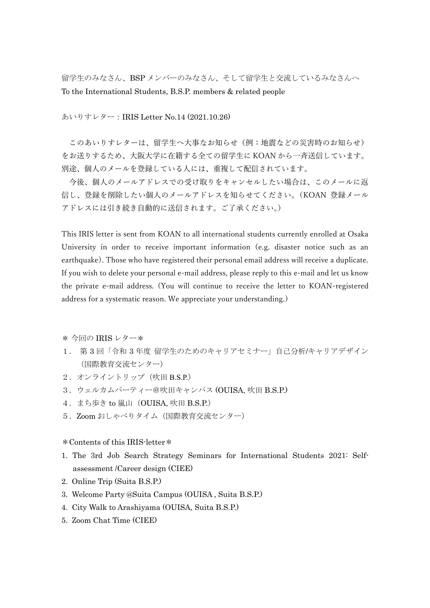留学生のみなさん、BSP メンバーのみなさん、そして留学生と交流しているみなさんへ To the International Students, B.S.P. members & related people

あいりすレター:IRIS Letter No.14 (2021.10.26)

このあいりすレターは、留学生へ大事なお知らせ(例:地震などの災害時のお知らせ) をお送りするため、大阪大学に在籍する全ての留学生に KOAN から一斉送信しています。 別途、個人のメールを登録している人には、重複して配信されています。

今後、個人のメールアドレスでの受け取りをキャンセルしたい場合は、このメールに返 信し、登録を削除したい個人のメールアドレスを知らせてください。(KOAN 登録メール アドレスには引き続き自動的に送信されます。ご了承ください。)

This IRIS letter is sent from KOAN to all international students currently enrolled at Osaka University in order to receive important information (e.g. disaster notice such as an earthquake). Those who have registered their personal email address will receive a duplicate. If you wish to delete your personal e-mail address, please reply to this e-mail and let us know the private e-mail address. (You will continue to receive the letter to KOAN-registered address for a systematic reason. We appreciate your understanding.)

\* 今回の IRIS レター\*

- 1. 第 3 回「令和 3 年度 留学生のためのキャリアセミナー」自己分析/キャリアデザイン (国際教育交流センター)
- 2.オンライントリップ(吹田 B.S.P.)
- 3.ウェルカムパーティー@吹田キャンパス (OUISA, 吹田 B.S.P.)
- 4. まち歩き to 嵐山 (OUISA, 吹田 B.S.P.)
- 5. Zoom おしゃべりタイム (国際教育交流センター)

## \*Contents of this IRIS-letter\*

- 1. The 3rd Job Search Strategy Seminars for International Students 2021: Selfassessment /Career design (CIEE)
- 2. Online Trip (Suita B.S.P.)
- 3. Welcome Party @Suita Campus (OUISA , Suita B.S.P.)
- 4. City Walk to Arashiyama (OUISA, Suita B.S.P.)
- 5. Zoom Chat Time (CIEE)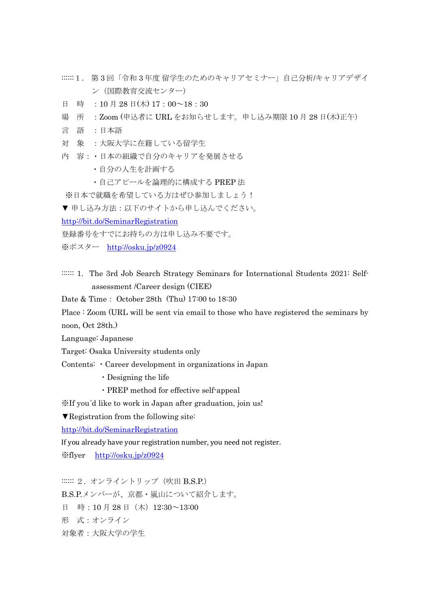- ::::::1. 第 3 回「令和 3 年度 留学生のためのキャリアセミナー」自己分析/キャリアデザイ ン(国際教育交流センター)
- 日 時 :10月28日(木) 17:00~18:30
- 場 所 :Zoom (申込者に URL をお知らせします。申し込み期限 10 月 28 日(木)正午)
- 言 語 :日本語
- 対 象 :大阪大学に在籍している留学生
- 内 容:・日本の組織で自分のキャリアを発展させる
	- ・自分の人生を計画する
	- ・自己アピールを論理的に構成する PREP 法

※日本で就職を希望している方はぜひ参加しましょう!

▼申し込み方法:以下のサイトから申し込んでください。

<http://bit.do/SeminarRegistration>

登録番号をすでにお持ちの方は申し込み不要です。

- ※ポスター <http://osku.jp/z0924>
- :::::: 1. The 3rd Job Search Strategy Seminars for International Students 2021: Selfassessment /Career design (CIEE)

Date & Time: October 28th (Thu) 17:00 to 18:30

Place : Zoom (URL will be sent via email to those who have registered the seminars by noon, Oct 28th.)

Language: Japanese

Target: Osaka University students only

Contents: ・Career development in organizations in Japan

- ・Designing the life
- ・PREP method for effective self-appeal

※If you´d like to work in Japan after graduation, join us!

▼Registration from the following site:

<http://bit.do/SeminarRegistration>

If you already have your registration number, you need not register.

※flyer <http://osku.jp/z0924>

:::::: 2. オンライントリップ (吹田 B.S.P.) B.S.P.メンバーが、京都・嵐山について紹介します。 日 時:10月28日 (木) 12:30~13:00 形 式:オンライン 対象者:大阪大学の学生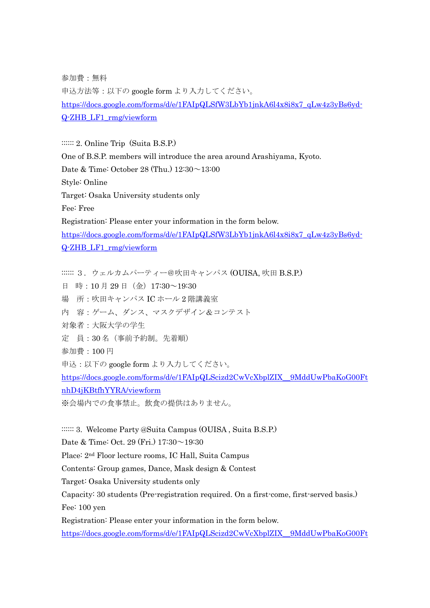参加費:無料

申込方法等:以下の google form より入力してください。 [https://docs.google.com/forms/d/e/1FAIpQLSfW3LbYb1jnkA6l4x8i8x7\\_qLw4z3yBs6yd-](https://docs.google.com/forms/d/e/1FAIpQLSfW3LbYb1jnkA6l4x8i8x7_qLw4z3yBs6yd-Q-ZHB_LF1_rmg/viewform)[Q-ZHB\\_LF1\\_rmg/viewform](https://docs.google.com/forms/d/e/1FAIpQLSfW3LbYb1jnkA6l4x8i8x7_qLw4z3yBs6yd-Q-ZHB_LF1_rmg/viewform)

:::::: 2. Online Trip (Suita B.S.P.) One of B.S.P. members will introduce the area around Arashiyama, Kyoto. Date & Time: October 28 (Thu.) 12:30~13:00 Style: Online Target: Osaka University students only Fee: Free Registration: Please enter your information in the form below. [https://docs.google.com/forms/d/e/1FAIpQLSfW3LbYb1jnkA6l4x8i8x7\\_qLw4z3yBs6yd-](https://docs.google.com/forms/d/e/1FAIpQLSfW3LbYb1jnkA6l4x8i8x7_qLw4z3yBs6yd-Q-ZHB_LF1_rmg/viewform)[Q-ZHB\\_LF1\\_rmg/viewform](https://docs.google.com/forms/d/e/1FAIpQLSfW3LbYb1jnkA6l4x8i8x7_qLw4z3yBs6yd-Q-ZHB_LF1_rmg/viewform)

:::::: 3. ウェルカムパーティー@吹田キャンパス (OUISA, 吹田 B.S.P.) 日 時:10月29日(金) 17:30~19:30 場 所:吹田キャンパス IC ホール 2 階講義室 内 容:ゲーム、ダンス、マスクデザイン&コンテスト 対象者:大阪大学の学生 定 員:30 名(事前予約制。先着順) 参加費:100 円 申込:以下の google form より入力してください。 [https://docs.google.com/forms/d/e/1FAIpQLScizd2CwVcXbplZIX\\_\\_9MddUwPbaKoG00Ft](https://docs.google.com/forms/d/e/1FAIpQLScizd2CwVcXbplZIX__9MddUwPbaKoG00FtnhD4jKBtfhYYRA/viewform) [nhD4jKBtfhYYRA/viewform](https://docs.google.com/forms/d/e/1FAIpQLScizd2CwVcXbplZIX__9MddUwPbaKoG00FtnhD4jKBtfhYYRA/viewform)

※会場内での食事禁止。飲食の提供はありません。

:::::: 3. Welcome Party @Suita Campus (OUISA, Suita B.S.P.)

Date & Time: Oct. 29 (Fri.) 17:30~19:30

Place: 2nd Floor lecture rooms, IC Hall, Suita Campus

Contents: Group games, Dance, Mask design & Contest

Target: Osaka University students only

Capacity: 30 students (Pre-registration required. On a first-come, first-served basis.) Fee: 100 yen

Registration: Please enter your information in the form below.

[https://docs.google.com/forms/d/e/1FAIpQLScizd2CwVcXbplZIX\\_\\_9MddUwPbaKoG00Ft](https://docs.google.com/forms/d/e/1FAIpQLScizd2CwVcXbplZIX__9MddUwPbaKoG00FtnhD4jKBtfhYYRA/viewform)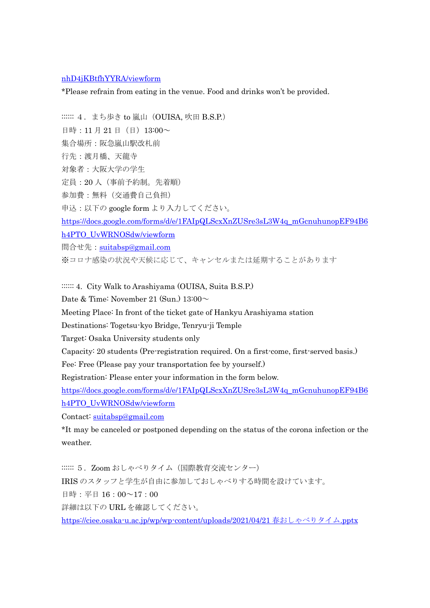## [nhD4jKBtfhYYRA/viewform](https://docs.google.com/forms/d/e/1FAIpQLScizd2CwVcXbplZIX__9MddUwPbaKoG00FtnhD4jKBtfhYYRA/viewform)

\*Please refrain from eating in the venue. Food and drinks won't be provided.

::::::: 4. まち歩き to 嵐山 (OUISA, 吹田 B.S.P.)

日時: 11月21日 (日) 13:00~

集合場所:阪急嵐山駅改札前

行先:渡月橋、天龍寺

対象者:大阪大学の学生

定員:20 人(事前予約制。先着順)

参加費:無料(交通費自己負担)

申込:以下の google form より入力してください。

[https://docs.google.com/forms/d/e/1FAIpQLScxXnZUSre3sL3W4q\\_mGcnuhunopEF94B6](https://docs.google.com/forms/d/e/1FAIpQLScxXnZUSre3sL3W4q_mGcnuhunopEF94B6h4PTO_UvWRNOSdw/viewform) [h4PTO\\_UvWRNOSdw/viewform](https://docs.google.com/forms/d/e/1FAIpQLScxXnZUSre3sL3W4q_mGcnuhunopEF94B6h4PTO_UvWRNOSdw/viewform)

問合せ先: [suitabsp@gmail.com](mailto:suitabsp@gmail.com)

※コロナ感染の状況や天候に応じて、キャンセルまたは延期することがあります

::::::: 4. City Walk to Arashiyama (OUISA, Suita B.S.P.)

Date & Time: November 21 (Sun.)  $13:00 \sim$ 

Meeting Place: In front of the ticket gate of Hankyu Arashiyama station

Destinations: Togetsu-kyo Bridge, Tenryu-ji Temple

Target: Osaka University students only

Capacity: 20 students (Pre-registration required. On a first-come, first-served basis.)

Fee: Free (Please pay your transportation fee by yourself.)

Registration: Please enter your information in the form below.

[https://docs.google.com/forms/d/e/1FAIpQLScxXnZUSre3sL3W4q\\_mGcnuhunopEF94B6](https://docs.google.com/forms/d/e/1FAIpQLScxXnZUSre3sL3W4q_mGcnuhunopEF94B6h4PTO_UvWRNOSdw/viewform) [h4PTO\\_UvWRNOSdw/viewform](https://docs.google.com/forms/d/e/1FAIpQLScxXnZUSre3sL3W4q_mGcnuhunopEF94B6h4PTO_UvWRNOSdw/viewform)

Contact: [suitabsp@gmail.com](mailto:suitabsp@gmail.com)

\*It may be canceled or postponed depending on the status of the corona infection or the weather.

:::::: 5. Zoom おしゃべりタイム (国際教育交流センター) IRIS のスタッフと学生が自由に参加しておしゃべりする時間を設けています。 日時:平日 16:00~17:00 詳細は以下の URL を確認してください。 [https://ciee.osaka-u.ac.jp/wp/wp-content/uploads/2021/04/21](https://ciee.osaka-u.ac.jp/wp/wp-content/uploads/2021/04/21春おしゃべりタイム.pptx) 春おしゃべりタイム.pptx